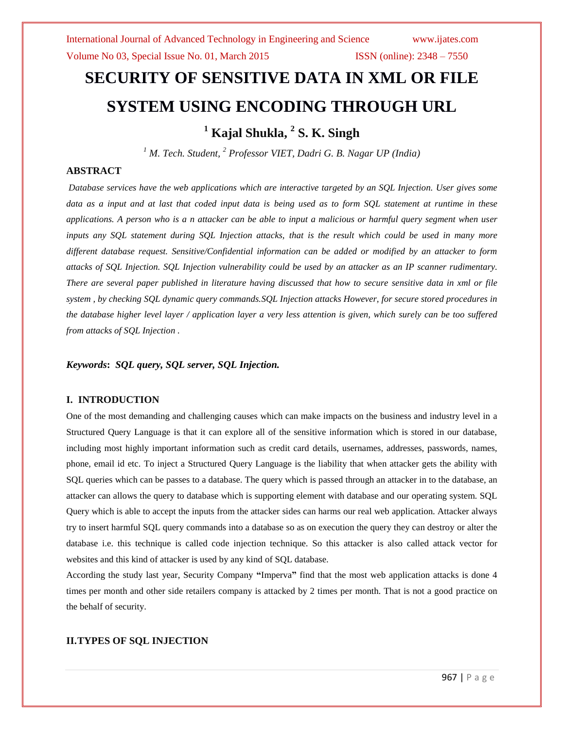# **SECURITY OF SENSITIVE DATA IN XML OR FILE SYSTEM USING ENCODING THROUGH URL**

**<sup>1</sup> Kajal Shukla, <sup>2</sup> S. K. Singh**

*<sup>1</sup> M. Tech. Student, <sup>2</sup> Professor VIET, Dadri G. B. Nagar UP (India)*

# **ABSTRACT**

*Database services have the web applications which are interactive targeted by an SQL Injection. User gives some data as a input and at last that coded input data is being used as to form SQL statement at runtime in these applications. A person who is a n attacker can be able to input a malicious or harmful query segment when user inputs any SQL statement during SQL Injection attacks, that is the result which could be used in many more different database request. Sensitive/Confidential information can be added or modified by an attacker to form attacks of SQL Injection. SQL Injection vulnerability could be used by an attacker as an IP scanner rudimentary. There are several paper published in literature having discussed that how to secure sensitive data in xml or file system , by checking SQL dynamic query commands.SQL Injection attacks However, for secure stored procedures in the database higher level layer / application layer a very less attention is given, which surely can be too suffered from attacks of SQL Injection .*

*Keywords***:** *SQL query, SQL server, SQL Injection.*

# **I. INTRODUCTION**

One of the most demanding and challenging causes which can make impacts on the business and industry level in a Structured Query Language is that it can explore all of the sensitive information which is stored in our database, including most highly important information such as credit card details, usernames, addresses, passwords, names, phone, email id etc. To inject a Structured Query Language is the liability that when attacker gets the ability with SQL queries which can be passes to a database. The query which is passed through an attacker in to the database, an attacker can allows the query to database which is supporting element with database and our operating system. SQL Query which is able to accept the inputs from the attacker sides can harms our real web application. Attacker always try to insert harmful SQL query commands into a database so as on execution the query they can destroy or alter the database i.e. this technique is called code injection technique. So this attacker is also called attack vector for websites and this kind of attacker is used by any kind of SQL database.

According the study last year, Security Company **"**Imperva**"** find that the most web application attacks is done 4 times per month and other side retailers company is attacked by 2 times per month. That is not a good practice on the behalf of security.

# **II.TYPES OF SQL INJECTION**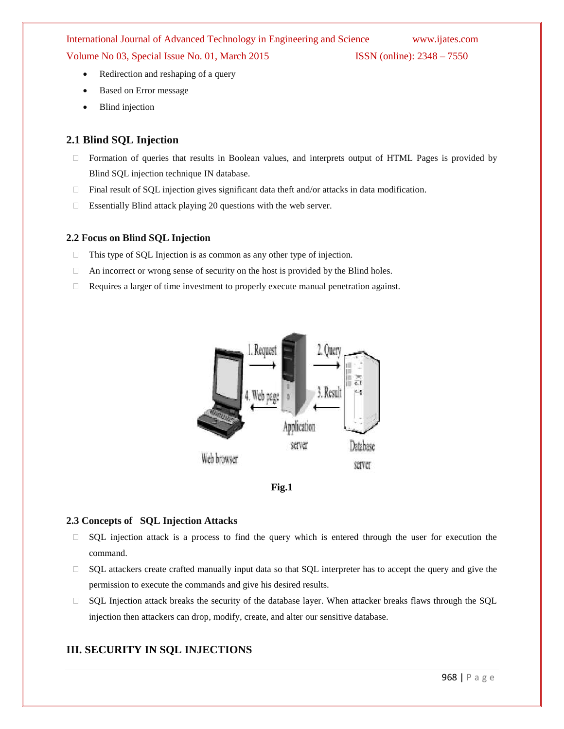Volume No 03, Special Issue No. 01, March 2015 ISSN (online): 2348 – 7550

- Redirection and reshaping of a query
- Based on Error message
- Blind injection

# **2.1 Blind SQL Injection**

- $\Box$  Formation of queries that results in Boolean values, and interprets output of HTML Pages is provided by Blind SQL injection technique IN database.
- $\Box$  Final result of SQL injection gives significant data theft and/or attacks in data modification.
- Essentially Blind attack playing 20 questions with the web server.

# **2.2 Focus on Blind SQL Injection**

- $\Box$  This type of SQL Injection is as common as any other type of injection.
- $\Box$  An incorrect or wrong sense of security on the host is provided by the Blind holes.
- $\Box$  Requires a larger of time investment to properly execute manual penetration against.





# **2.3 Concepts of SQL Injection Attacks**

- $\Box$  SQL injection attack is a process to find the query which is entered through the user for execution the command.
- $\Box$  SQL attackers create crafted manually input data so that SQL interpreter has to accept the query and give the permission to execute the commands and give his desired results.
- SQL Injection attack breaks the security of the database layer. When attacker breaks flaws through the SQL injection then attackers can drop, modify, create, and alter our sensitive database.

# **III. SECURITY IN SQL INJECTIONS**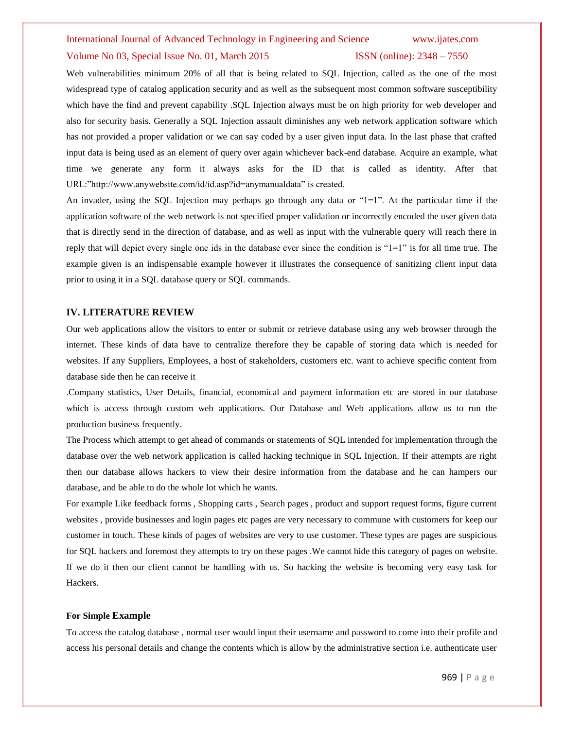#### Volume No 03, Special Issue No. 01, March 2015 **ISSN** (online): 2348 – 7550

Web vulnerabilities minimum 20% of all that is being related to SQL Injection, called as the one of the most widespread type of catalog application security and as well as the subsequent most common software susceptibility which have the find and prevent capability .SQL Injection always must be on high priority for web developer and also for security basis. Generally a SQL Injection assault diminishes any web network application software which has not provided a proper validation or we can say coded by a user given input data. In the last phase that crafted input data is being used as an element of query over again whichever back-end database. Acquire an example, what time we generate any form it always asks for the ID that is called as identity. After that URL:"http://www.anywebsite.com/id/id.asp?id=anymanualdata" is created.

An invader, using the SQL Injection may perhaps go through any data or "1=1". At the particular time if the application software of the web network is not specified proper validation or incorrectly encoded the user given data that is directly send in the direction of database, and as well as input with the vulnerable query will reach there in reply that will depict every single one ids in the database ever since the condition is "1=1" is for all time true. The example given is an indispensable example however it illustrates the consequence of sanitizing client input data prior to using it in a SQL database query or SQL commands.

#### **IV. LITERATURE REVIEW**

Our web applications allow the visitors to enter or submit or retrieve database using any web browser through the internet. These kinds of data have to centralize therefore they be capable of storing data which is needed for websites. If any Suppliers, Employees, a host of stakeholders, customers etc. want to achieve specific content from database side then he can receive it

.Company statistics, User Details, financial, economical and payment information etc are stored in our database which is access through custom web applications. Our Database and Web applications allow us to run the production business frequently.

The Process which attempt to get ahead of commands or statements of SQL intended for implementation through the database over the web network application is called hacking technique in SQL Injection. If their attempts are right then our database allows hackers to view their desire information from the database and he can hampers our database, and be able to do the whole lot which he wants.

For example Like feedback forms , Shopping carts , Search pages , product and support request forms, figure current websites , provide businesses and login pages etc pages are very necessary to commune with customers for keep our customer in touch. These kinds of pages of websites are very to use customer. These types are pages are suspicious for SQL hackers and foremost they attempts to try on these pages .We cannot hide this category of pages on website. If we do it then our client cannot be handling with us. So hacking the website is becoming very easy task for Hackers.

#### **For Simple Example**

To access the catalog database , normal user would input their username and password to come into their profile and access his personal details and change the contents which is allow by the administrative section i.e. authenticate user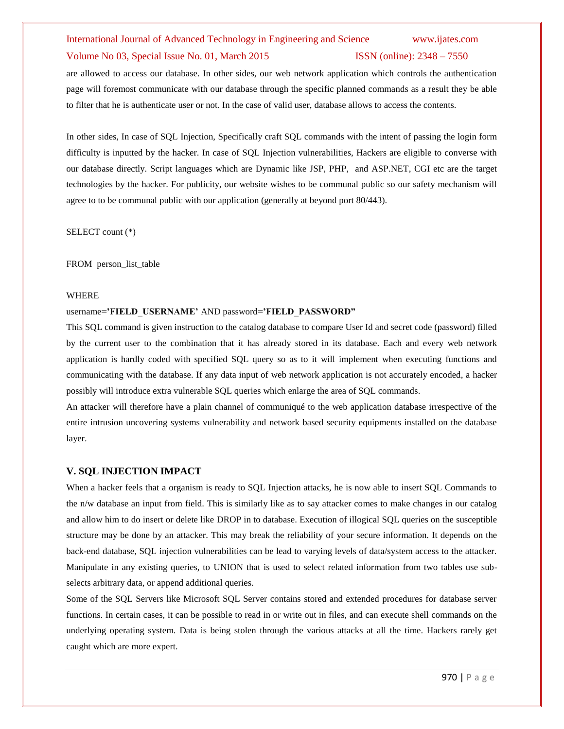### Volume No 03, Special Issue No. 01, March 2015 ISSN (online): 2348 – 7550

are allowed to access our database. In other sides, our web network application which controls the authentication page will foremost communicate with our database through the specific planned commands as a result they be able to filter that he is authenticate user or not. In the case of valid user, database allows to access the contents.

In other sides, In case of SQL Injection, Specifically craft SQL commands with the intent of passing the login form difficulty is inputted by the hacker. In case of SQL Injection vulnerabilities, Hackers are eligible to converse with our database directly. Script languages which are Dynamic like JSP, PHP, and ASP.NET, CGI etc are the target technologies by the hacker. For publicity, our website wishes to be communal public so our safety mechanism will agree to to be communal public with our application (generally at beyond port 80/443).

SELECT count (\*)

FROM person\_list\_table

#### WHERE

#### username**="FIELD\_USERNAME"** AND password**="FIELD\_PASSWORD"**

This SQL command is given instruction to the catalog database to compare User Id and secret code (password) filled by the current user to the combination that it has already stored in its database. Each and every web network application is hardly coded with specified SQL query so as to it will implement when executing functions and communicating with the database. If any data input of web network application is not accurately encoded, a hacker possibly will introduce extra vulnerable SQL queries which enlarge the area of SQL commands.

An attacker will therefore have a plain channel of communiqué to the web application database irrespective of the entire intrusion uncovering systems vulnerability and network based security equipments installed on the database layer.

### **V. SQL INJECTION IMPACT**

When a hacker feels that a organism is ready to SQL Injection attacks, he is now able to insert SQL Commands to the n/w database an input from field. This is similarly like as to say attacker comes to make changes in our catalog and allow him to do insert or delete like DROP in to database. Execution of illogical SQL queries on the susceptible structure may be done by an attacker. This may break the reliability of your secure information. It depends on the back-end database, SQL injection vulnerabilities can be lead to varying levels of data/system access to the attacker. Manipulate in any existing queries, to UNION that is used to select related information from two tables use subselects arbitrary data, or append additional queries.

Some of the SQL Servers like Microsoft SQL Server contains stored and extended procedures for database server functions. In certain cases, it can be possible to read in or write out in files, and can execute shell commands on the underlying operating system. Data is being stolen through the various attacks at all the time. Hackers rarely get caught which are more expert.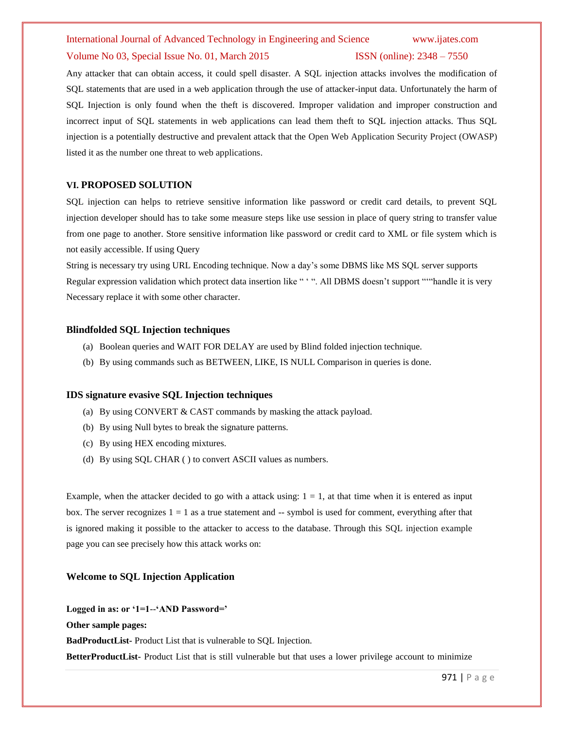#### Volume No 03, Special Issue No. 01, March 2015 **ISSN** (online): 2348 – 7550

Any attacker that can obtain access, it could spell disaster. A SQL injection attacks involves the modification of SQL statements that are used in a web application through the use of attacker-input data. Unfortunately the harm of SQL Injection is only found when the theft is discovered. Improper validation and improper construction and incorrect input of SQL statements in web applications can lead them theft to SQL injection attacks. Thus SQL injection is a potentially destructive and prevalent attack that the Open Web Application Security Project (OWASP) listed it as the number one threat to web applications.

### **VI. PROPOSED SOLUTION**

SQL injection can helps to retrieve sensitive information like password or credit card details, to prevent SQL injection developer should has to take some measure steps like use session in place of query string to transfer value from one page to another. Store sensitive information like password or credit card to XML or file system which is not easily accessible. If using Query

String is necessary try using URL Encoding technique. Now a day"s some DBMS like MS SQL server supports Regular expression validation which protect data insertion like " ". All DBMS doesn't support ""handle it is very Necessary replace it with some other character.

### **Blindfolded SQL Injection techniques**

- (a) Boolean queries and WAIT FOR DELAY are used by Blind folded injection technique.
- (b) By using commands such as BETWEEN, LIKE, IS NULL Comparison in queries is done.

### **IDS signature evasive SQL Injection techniques**

- (a) By using CONVERT & CAST commands by masking the attack payload.
- (b) By using Null bytes to break the signature patterns.
- (c) By using HEX encoding mixtures.
- (d) By using SQL CHAR ( ) to convert ASCII values as numbers.

Example, when the attacker decided to go with a attack using:  $1 = 1$ , at that time when it is entered as input box. The server recognizes  $1 = 1$  as a true statement and  $-$  symbol is used for comment, everything after that is ignored making it possible to the attacker to access to the database. Through this SQL injection example page you can see precisely how this attack works on:

# **Welcome to SQL Injection Application**

**Logged in as: or "1=1**--**"AND Password="**

**Other sample pages:**

**BadProductList-** Product List that is vulnerable to SQL Injection.

**BetterProductList-** Product List that is still vulnerable but that uses a lower privilege account to minimize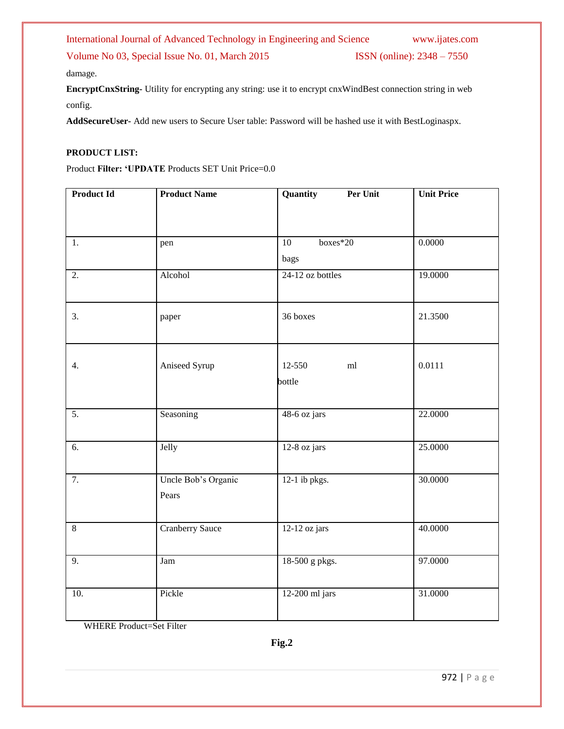Volume No 03, Special Issue No. 01, March 2015 **ISSN** (online): 2348 – 7550

damage.

**EncryptCnxString-** Utility for encrypting any string: use it to encrypt cnxWindBest connection string in web config.

**AddSecureUser-** Add new users to Secure User table: Password will be hashed use it with BestLoginaspx.

## **PRODUCT LIST:**

Product **Filter: "UPDATE** Products SET Unit Price=0.0

| <b>Product Id</b> | <b>Product Name</b>          | Quantity<br>Per Unit        | <b>Unit Price</b> |
|-------------------|------------------------------|-----------------------------|-------------------|
|                   |                              |                             |                   |
| 1.                | pen                          | boxes*20<br>$\overline{10}$ | 0.0000            |
|                   |                              | bags                        |                   |
| 2.                | Alcohol                      | 24-12 oz bottles            | 19.0000           |
| 3.                | paper                        | 36 boxes                    | 21.3500           |
| 4.                | Aniseed Syrup                | 12-550<br>ml<br>bottle      | 0.0111            |
| $\overline{5}$ .  | Seasoning                    | $48-6$ oz jars              | 22.0000           |
| $\overline{6}$ .  | Jelly                        | 12-8 oz jars                | 25.0000           |
| $\overline{7}$ .  | Uncle Bob's Organic<br>Pears | $12-1$ ib pkgs.             | 30.0000           |
| $\overline{8}$    | <b>Cranberry Sauce</b>       | 12-12 oz jars               | 40.0000           |
| 9.                | Jam                          | 18-500 g pkgs.              | 97.0000           |
| 10.               | Pickle                       | 12-200 ml jars              | 31.0000           |

WHERE Product=Set Filter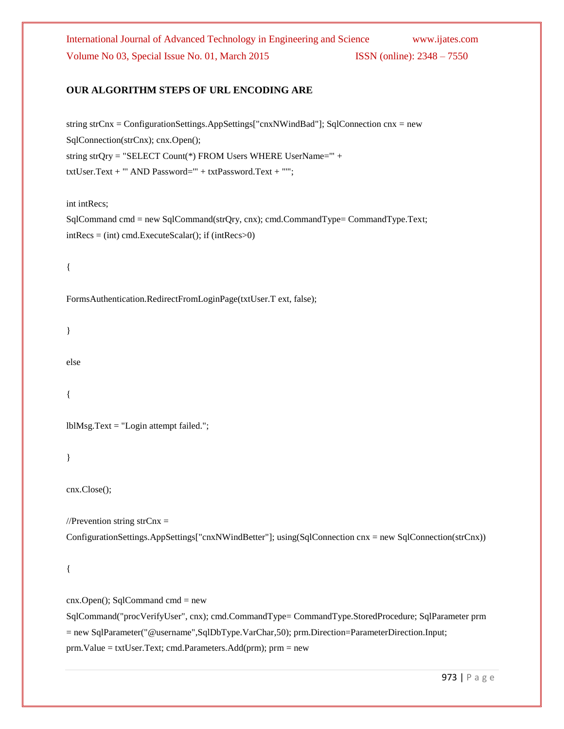International Journal of Advanced Technology in Engineering and Science www.ijates.com Volume No 03, Special Issue No. 01, March 2015 ISSN (online): 2348 – 7550

# **OUR ALGORITHM STEPS OF URL ENCODING ARE**

string strCnx = ConfigurationSettings.AppSettings["cnxNWindBad"]; SqlConnection cnx = new SqlConnection(strCnx); cnx.Open(); string strQry = "SELECT Count(\*) FROM Users WHERE UserName='" + txtUser.Text + "' AND Password='" + txtPassword.Text + "'";

int intRecs;

SqlCommand cmd = new SqlCommand(strQry, cnx); cmd.CommandType= CommandType.Text;  $intRecs = (int) cmd.ExecuteScalar(); if (intRecs>0)$ 

{

FormsAuthentication.RedirectFromLoginPage(txtUser.T ext, false);

}

else

{

lblMsg.Text = "Login attempt failed.";

}

cnx.Close();

//Prevention string str $Cnx =$ 

ConfigurationSettings.AppSettings["cnxNWindBetter"]; using(SqlConnection cnx = new SqlConnection(strCnx))

```
{
```
 $cnx.Open()$ ; SqlCommand  $cmd = new$ SqlCommand("procVerifyUser", cnx); cmd.CommandType= CommandType.StoredProcedure; SqlParameter prm = new SqlParameter("@username",SqlDbType.VarChar,50); prm.Direction=ParameterDirection.Input; prm.Value = txtUser.Text; cmd.Parameters.Add(prm); prm = new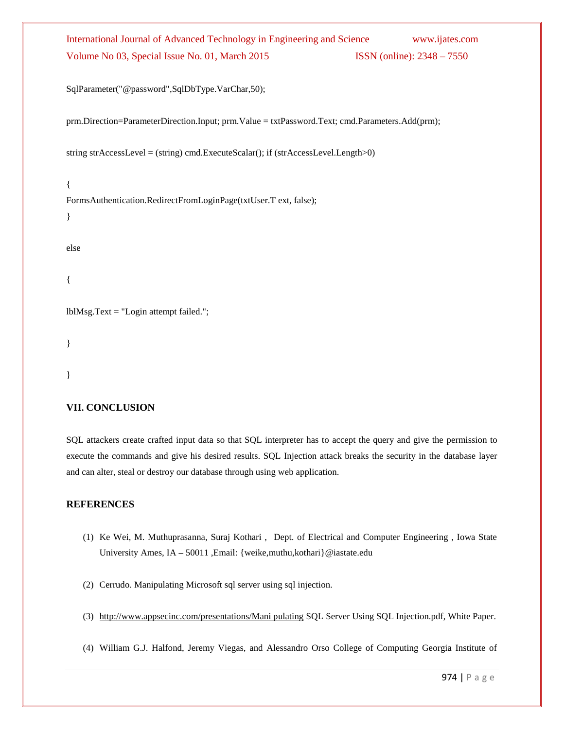# International Journal of Advanced Technology in Engineering and Science www.ijates.com Volume No 03, Special Issue No. 01, March 2015 ISSN (online): 2348 – 7550

SqlParameter("@password",SqlDbType.VarChar,50);

prm.Direction=ParameterDirection.Input; prm.Value = txtPassword.Text; cmd.Parameters.Add(prm);

string strAccessLevel = (string) cmd.ExecuteScalar(); if (strAccessLevel.Length>0)

{ FormsAuthentication.RedirectFromLoginPage(txtUser.T ext, false);

}

else

{

lblMsg.Text = "Login attempt failed.";

}

}

# **VII. CONCLUSION**

SQL attackers create crafted input data so that SQL interpreter has to accept the query and give the permission to execute the commands and give his desired results. SQL Injection attack breaks the security in the database layer and can alter, steal or destroy our database through using web application.

# **REFERENCES**

- (1) Ke Wei, M. Muthuprasanna, Suraj Kothari , Dept. of Electrical and Computer Engineering , Iowa State University Ames, IA **–** 50011 ,Email: {weike,muthu,kothari}@iastate.edu
- (2) Cerrudo. Manipulating Microsoft sql server using sql injection.
- (3) http://www.appsecinc.com/presentations/Mani pulating SQL Server Using SQL Injection.pdf, White Paper.
- (4) William G.J. Halfond, Jeremy Viegas, and Alessandro Orso College of Computing Georgia Institute of